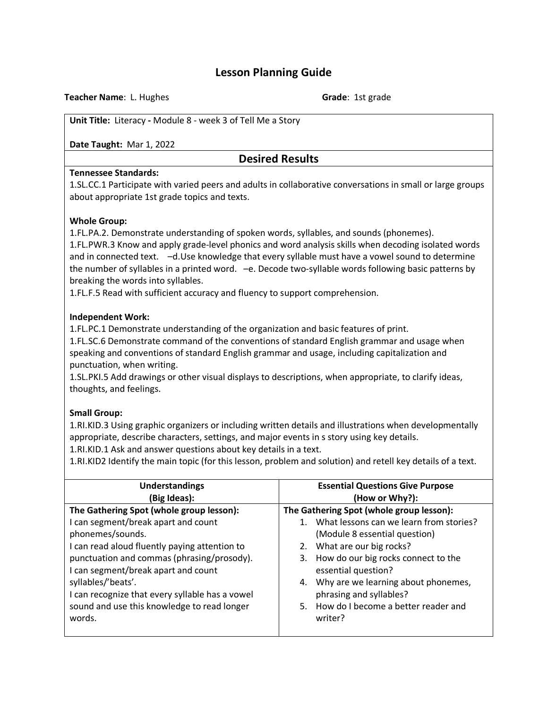# **Lesson Planning Guide**

**Teacher Name**: L. Hughes **Grade**: 1st grade

**Unit Title:** Literacy **-** Module 8 - week 3 of Tell Me a Story

**Date Taught:** Mar 1, 2022

## **Desired Results**

#### **Tennessee Standards:**

1.SL.CC.1 Participate with varied peers and adults in collaborative conversations in small or large groups about appropriate 1st grade topics and texts.

#### **Whole Group:**

1.FL.PA.2. Demonstrate understanding of spoken words, syllables, and sounds (phonemes).

1.FL.PWR.3 Know and apply grade-level phonics and word analysis skills when decoding isolated words and in connected text. –d.Use knowledge that every syllable must have a vowel sound to determine the number of syllables in a printed word. –e. Decode two-syllable words following basic patterns by breaking the words into syllables.

1.FL.F.5 Read with sufficient accuracy and fluency to support comprehension.

#### **Independent Work:**

1.FL.PC.1 Demonstrate understanding of the organization and basic features of print.

1.FL.SC.6 Demonstrate command of the conventions of standard English grammar and usage when speaking and conventions of standard English grammar and usage, including capitalization and punctuation, when writing.

1.SL.PKI.5 Add drawings or other visual displays to descriptions, when appropriate, to clarify ideas, thoughts, and feelings.

## **Small Group:**

1.RI.KID.3 Using graphic organizers or including written details and illustrations when developmentally appropriate, describe characters, settings, and major events in s story using key details.

1.RI.KID.1 Ask and answer questions about key details in a text.

1.RI.KID2 Identify the main topic (for this lesson, problem and solution) and retell key details of a text.

| <b>Understandings</b>                           | <b>Essential Questions Give Purpose</b>    |
|-------------------------------------------------|--------------------------------------------|
| (Big Ideas):                                    | (How or Why?):                             |
| The Gathering Spot (whole group lesson):        | The Gathering Spot (whole group lesson):   |
| I can segment/break apart and count             | 1. What lessons can we learn from stories? |
| phonemes/sounds.                                | (Module 8 essential question)              |
| I can read aloud fluently paying attention to   | 2. What are our big rocks?                 |
| punctuation and commas (phrasing/prosody).      | 3. How do our big rocks connect to the     |
| I can segment/break apart and count             | essential question?                        |
| syllables/'beats'.                              | 4. Why are we learning about phonemes,     |
| I can recognize that every syllable has a vowel | phrasing and syllables?                    |
| sound and use this knowledge to read longer     | 5. How do I become a better reader and     |
| words.                                          | writer?                                    |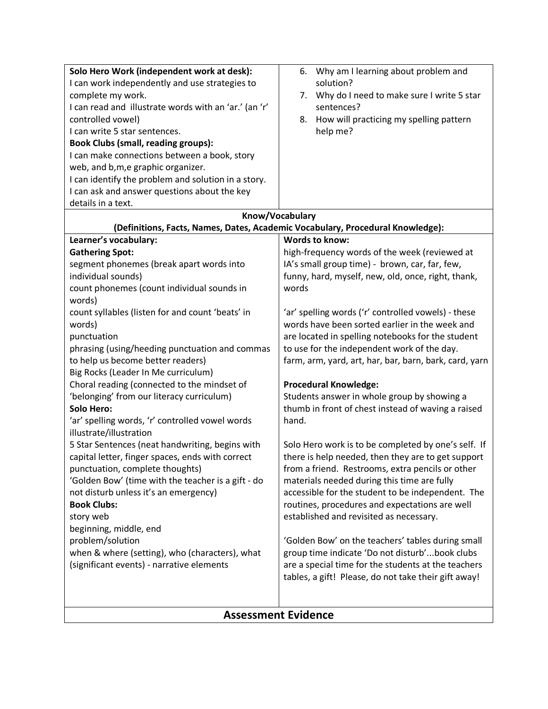| Solo Hero Work (independent work at desk):                                 | 6. Why am I learning about problem and                                         |
|----------------------------------------------------------------------------|--------------------------------------------------------------------------------|
| I can work independently and use strategies to                             | solution?                                                                      |
| complete my work.                                                          | 7. Why do I need to make sure I write 5 star                                   |
| I can read and illustrate words with an 'ar.' (an 'r'                      | sentences?                                                                     |
| controlled vowel)                                                          | How will practicing my spelling pattern<br>8.                                  |
| I can write 5 star sentences.                                              | help me?                                                                       |
| <b>Book Clubs (small, reading groups):</b>                                 |                                                                                |
| I can make connections between a book, story                               |                                                                                |
| web, and b, m, e graphic organizer.                                        |                                                                                |
| I can identify the problem and solution in a story.                        |                                                                                |
| I can ask and answer questions about the key                               |                                                                                |
| details in a text.                                                         |                                                                                |
|                                                                            | Know/Vocabulary                                                                |
|                                                                            | (Definitions, Facts, Names, Dates, Academic Vocabulary, Procedural Knowledge): |
| Learner's vocabulary:                                                      | <b>Words to know:</b>                                                          |
| <b>Gathering Spot:</b>                                                     | high-frequency words of the week (reviewed at                                  |
| segment phonemes (break apart words into                                   | IA's small group time) - brown, car, far, few,                                 |
| individual sounds)                                                         | funny, hard, myself, new, old, once, right, thank,                             |
| count phonemes (count individual sounds in<br>words)                       | words                                                                          |
| count syllables (listen for and count 'beats' in                           | 'ar' spelling words ('r' controlled vowels) - these                            |
| words)                                                                     | words have been sorted earlier in the week and                                 |
| punctuation                                                                | are located in spelling notebooks for the student                              |
| phrasing (using/heeding punctuation and commas                             | to use for the independent work of the day.                                    |
| to help us become better readers)                                          | farm, arm, yard, art, har, bar, barn, bark, card, yarn                         |
| Big Rocks (Leader In Me curriculum)                                        |                                                                                |
| Choral reading (connected to the mindset of                                | <b>Procedural Knowledge:</b>                                                   |
| 'belonging' from our literacy curriculum)                                  | Students answer in whole group by showing a                                    |
| Solo Hero:                                                                 | thumb in front of chest instead of waving a raised                             |
| 'ar' spelling words, 'r' controlled vowel words<br>illustrate/illustration | hand.                                                                          |
| 5 Star Sentences (neat handwriting, begins with                            | Solo Hero work is to be completed by one's self. If                            |
| capital letter, finger spaces, ends with correct                           | there is help needed, then they are to get support                             |
| punctuation, complete thoughts)                                            | from a friend. Restrooms, extra pencils or other                               |
| 'Golden Bow' (time with the teacher is a gift - do                         | materials needed during this time are fully                                    |
| not disturb unless it's an emergency)                                      | accessible for the student to be independent. The                              |
| <b>Book Clubs:</b>                                                         | routines, procedures and expectations are well                                 |
| story web                                                                  | established and revisited as necessary.                                        |
| beginning, middle, end                                                     |                                                                                |
| problem/solution                                                           | 'Golden Bow' on the teachers' tables during small                              |
| when & where (setting), who (characters), what                             | group time indicate 'Do not disturb'book clubs                                 |
| (significant events) - narrative elements                                  | are a special time for the students at the teachers                            |
|                                                                            | tables, a gift! Please, do not take their gift away!                           |
|                                                                            |                                                                                |
|                                                                            |                                                                                |

# **Assessment Evidence**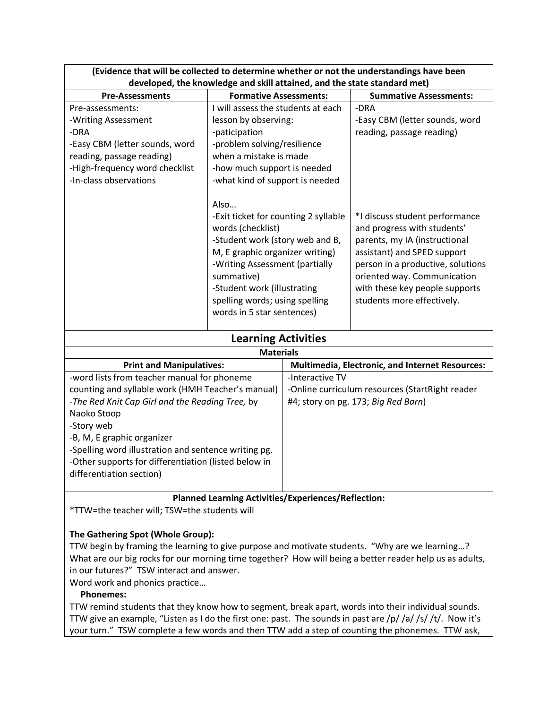| יומכחככ נחמנ אחר אכ כטווכנוכמ נט מכנכרווווווכ אחוכנווכר טר חטנ נחכ מחמכו אנומוואווואט חמיכ אככה<br>developed, the knowledge and skill attained, and the state standard met) |                                                                                                                                                                                                                                                                                        |                                                                                                                                                                                                                                                                   |
|-----------------------------------------------------------------------------------------------------------------------------------------------------------------------------|----------------------------------------------------------------------------------------------------------------------------------------------------------------------------------------------------------------------------------------------------------------------------------------|-------------------------------------------------------------------------------------------------------------------------------------------------------------------------------------------------------------------------------------------------------------------|
| <b>Pre-Assessments</b>                                                                                                                                                      | <b>Formative Assessments:</b>                                                                                                                                                                                                                                                          | <b>Summative Assessments:</b>                                                                                                                                                                                                                                     |
| Pre-assessments:<br>-Writing Assessment<br>-DRA<br>-Easy CBM (letter sounds, word<br>reading, passage reading)<br>-High-frequency word checklist<br>-In-class observations  | I will assess the students at each<br>lesson by observing:<br>-paticipation<br>-problem solving/resilience<br>when a mistake is made<br>-how much support is needed<br>-what kind of support is needed                                                                                 | -DRA<br>-Easy CBM (letter sounds, word<br>reading, passage reading)                                                                                                                                                                                               |
|                                                                                                                                                                             | Also<br>-Exit ticket for counting 2 syllable<br>words (checklist)<br>-Student work (story web and B,<br>M, E graphic organizer writing)<br>-Writing Assessment (partially<br>summative)<br>-Student work (illustrating<br>spelling words; using spelling<br>words in 5 star sentences) | *I discuss student performance<br>and progress with students'<br>parents, my IA (instructional<br>assistant) and SPED support<br>person in a productive, solutions<br>oriented way. Communication<br>with these key people supports<br>students more effectively. |
| <b>Learning Activities</b>                                                                                                                                                  |                                                                                                                                                                                                                                                                                        |                                                                                                                                                                                                                                                                   |
| <b>Materials</b>                                                                                                                                                            |                                                                                                                                                                                                                                                                                        |                                                                                                                                                                                                                                                                   |
| <b>Print and Manipulatives:</b><br><b>Multimedia. Electronic. and Internet Resources:</b>                                                                                   |                                                                                                                                                                                                                                                                                        |                                                                                                                                                                                                                                                                   |

| (Evidence that will be collected to determine whether or not the understandings have been |
|-------------------------------------------------------------------------------------------|
| developed, the knowledge and skill attained, and the state standard met)                  |

| <b>Materials</b>                                     |                                                        |  |
|------------------------------------------------------|--------------------------------------------------------|--|
| <b>Print and Manipulatives:</b>                      | <b>Multimedia, Electronic, and Internet Resources:</b> |  |
| -word lists from teacher manual for phoneme          | -Interactive TV                                        |  |
| counting and syllable work (HMH Teacher's manual)    | -Online curriculum resources (StartRight reader        |  |
| -The Red Knit Cap Girl and the Reading Tree, by      | #4; story on pg. 173; Big Red Barn)                    |  |
| Naoko Stoop                                          |                                                        |  |
| -Story web                                           |                                                        |  |
| -B, M, E graphic organizer                           |                                                        |  |
| -Spelling word illustration and sentence writing pg. |                                                        |  |
| -Other supports for differentiation (listed below in |                                                        |  |
| differentiation section)                             |                                                        |  |
|                                                      |                                                        |  |

**Planned Learning Activities/Experiences/Reflection:**

\*TTW=the teacher will; TSW=the students will

## **The Gathering Spot (Whole Group):**

TTW begin by framing the learning to give purpose and motivate students. "Why are we learning…? What are our big rocks for our morning time together? How will being a better reader help us as adults, in our futures?" TSW interact and answer.

Word work and phonics practice…

#### **Phonemes:**

TTW remind students that they know how to segment, break apart, words into their individual sounds. TTW give an example, "Listen as I do the first one: past. The sounds in past are /p/ /a/ /s/ /t/. Now it's your turn." TSW complete a few words and then TTW add a step of counting the phonemes. TTW ask,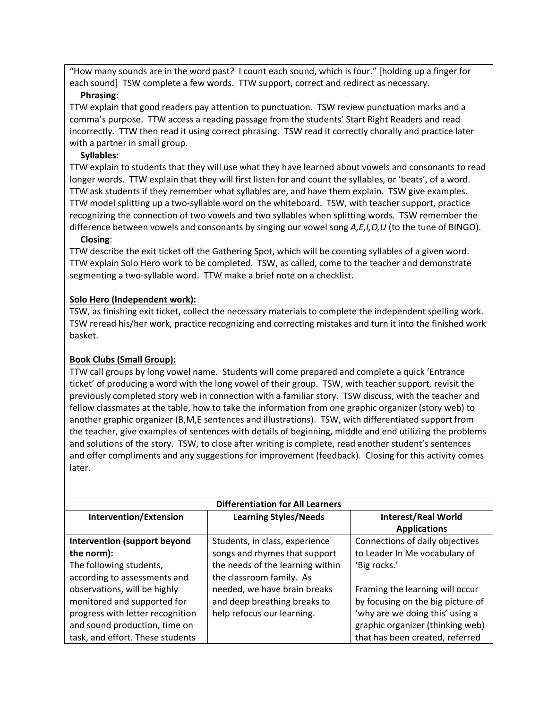"How many sounds are in the word past? I count each sound, which is four." [holding up a finger for each sound] TSW complete a few words. TTW support, correct and redirect as necessary.

#### **Phrasing:**

TTW explain that good readers pay attention to punctuation. TSW review punctuation marks and a comma's purpose. TTW access a reading passage from the students' Start Right Readers and read incorrectly. TTW then read it using correct phrasing. TSW read it correctly chorally and practice later with a partner in small group.

## **Syllables:**

TTW explain to students that they will use what they have learned about vowels and consonants to read longer words. TTW explain that they will first listen for and count the syllables, or 'beats', of a word. TTW ask students if they remember what syllables are, and have them explain. TSW give examples. TTW model splitting up a two-syllable word on the whiteboard. TSW, with teacher support, practice recognizing the connection of two vowels and two syllables when splitting words. TSW remember the difference between vowels and consonants by singing our vowel song *A,E,I,O,U* (to the tune of BINGO).

#### **Closing**:

TTW describe the exit ticket off the Gathering Spot, which will be counting syllables of a given word. TTW explain Solo Hero work to be completed. TSW, as called, come to the teacher and demonstrate segmenting a two-syllable word. TTW make a brief note on a checklist.

## **Solo Hero (Independent work):**

TSW, as finishing exit ticket, collect the necessary materials to complete the independent spelling work. TSW reread his/her work, practice recognizing and correcting mistakes and turn it into the finished work basket.

## **Book Clubs (Small Group):**

TTW call groups by long vowel name. Students will come prepared and complete a quick 'Entrance ticket' of producing a word with the long vowel of their group. TSW, with teacher support, revisit the previously completed story web in connection with a familiar story. TSW discuss, with the teacher and fellow classmates at the table, how to take the information from one graphic organizer (story web) to another graphic organizer (B,M,E sentences and illustrations). TSW, with differentiated support from the teacher, give examples of sentences with details of beginning, middle and end utilizing the problems and solutions of the story. TSW, to close after writing is complete, read another student's sentences and offer compliments and any suggestions for improvement (feedback). Closing for this activity comes later.

| <b>Differentiation for All Learners</b> |                                  |                                   |
|-----------------------------------------|----------------------------------|-----------------------------------|
| Intervention/Extension                  | <b>Learning Styles/Needs</b>     | <b>Interest/Real World</b>        |
|                                         |                                  | <b>Applications</b>               |
| <b>Intervention (support beyond</b>     | Students, in class, experience   | Connections of daily objectives   |
| the norm):                              | songs and rhymes that support    | to Leader In Me vocabulary of     |
| The following students,                 | the needs of the learning within | 'Big rocks.'                      |
| according to assessments and            | the classroom family. As         |                                   |
| observations, will be highly            | needed, we have brain breaks     | Framing the learning will occur   |
| monitored and supported for             | and deep breathing breaks to     | by focusing on the big picture of |
| progress with letter recognition        | help refocus our learning.       | 'why are we doing this' using a   |
| and sound production, time on           |                                  | graphic organizer (thinking web)  |
| task, and effort. These students        |                                  | that has been created, referred   |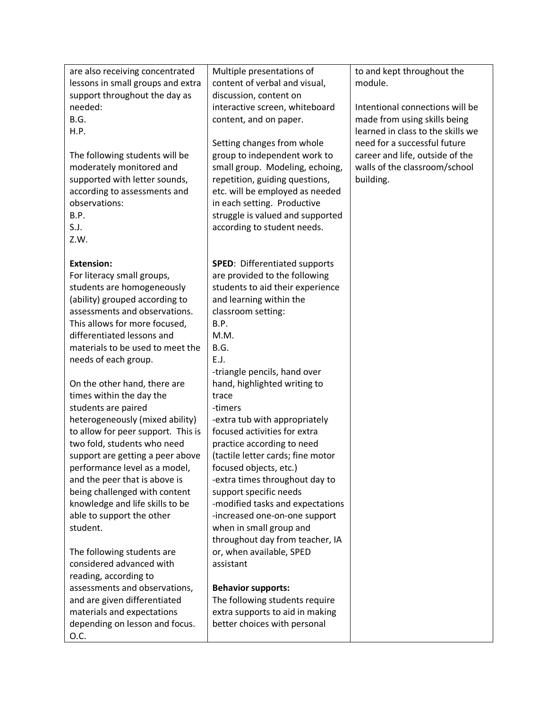| are also receiving concentrated<br>lessons in small groups and extra<br>support throughout the day as<br>needed:<br>B.G.<br><b>H.P.</b><br>The following students will be<br>moderately monitored and<br>supported with letter sounds,<br>according to assessments and<br>observations:<br>B.P.<br>S.J.<br>Z.W.                                                                                            | Multiple presentations of<br>content of verbal and visual,<br>discussion, content on<br>interactive screen, whiteboard<br>content, and on paper.<br>Setting changes from whole<br>group to independent work to<br>small group. Modeling, echoing,<br>repetition, guiding questions,<br>etc. will be employed as needed<br>in each setting. Productive<br>struggle is valued and supported<br>according to student needs.                      | to and kept throughout the<br>module.<br>Intentional connections will be<br>made from using skills being<br>learned in class to the skills we<br>need for a successful future<br>career and life, outside of the<br>walls of the classroom/school<br>building. |
|------------------------------------------------------------------------------------------------------------------------------------------------------------------------------------------------------------------------------------------------------------------------------------------------------------------------------------------------------------------------------------------------------------|-----------------------------------------------------------------------------------------------------------------------------------------------------------------------------------------------------------------------------------------------------------------------------------------------------------------------------------------------------------------------------------------------------------------------------------------------|----------------------------------------------------------------------------------------------------------------------------------------------------------------------------------------------------------------------------------------------------------------|
| <b>Extension:</b><br>For literacy small groups,<br>students are homogeneously<br>(ability) grouped according to<br>assessments and observations.<br>This allows for more focused,<br>differentiated lessons and<br>materials to be used to meet the<br>needs of each group.                                                                                                                                | <b>SPED:</b> Differentiated supports<br>are provided to the following<br>students to aid their experience<br>and learning within the<br>classroom setting:<br>B.P.<br>M.M.<br>B.G.<br>E.J.                                                                                                                                                                                                                                                    |                                                                                                                                                                                                                                                                |
| On the other hand, there are<br>times within the day the<br>students are paired<br>heterogeneously (mixed ability)<br>to allow for peer support. This is<br>two fold, students who need<br>support are getting a peer above<br>performance level as a model,<br>and the peer that is above is<br>being challenged with content<br>knowledge and life skills to be<br>able to support the other<br>student. | -triangle pencils, hand over<br>hand, highlighted writing to<br>trace<br>-timers<br>-extra tub with appropriately<br>focused activities for extra<br>practice according to need<br>(tactile letter cards; fine motor<br>focused objects, etc.)<br>-extra times throughout day to<br>support specific needs<br>-modified tasks and expectations<br>-increased one-on-one support<br>when in small group and<br>throughout day from teacher, IA |                                                                                                                                                                                                                                                                |
| The following students are<br>considered advanced with<br>reading, according to<br>assessments and observations,<br>and are given differentiated<br>materials and expectations<br>depending on lesson and focus.<br>0.C.                                                                                                                                                                                   | or, when available, SPED<br>assistant<br><b>Behavior supports:</b><br>The following students require<br>extra supports to aid in making<br>better choices with personal                                                                                                                                                                                                                                                                       |                                                                                                                                                                                                                                                                |